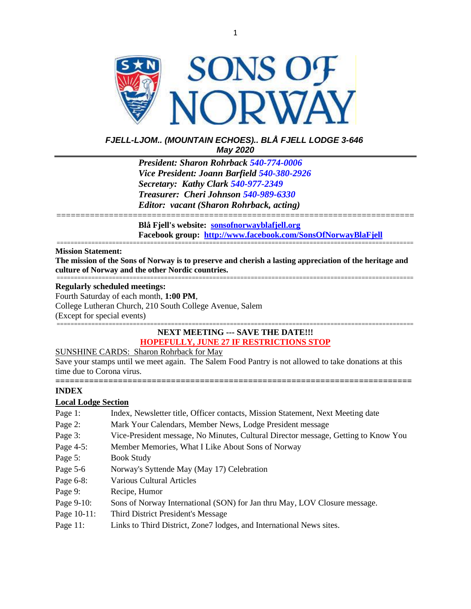

## *FJELL-LJOM.. (MOUNTAIN ECHOES).. BLÅ FJELL LODGE 3-646 May 2020*

*President: Sharon Rohrback [540-774-0006](tel:540-977-2349) Vice President: Joann Barfield [540-380-2926](tel:540-977-2349) Secretary: Kathy Clark [540-977-2349](tel:540-977-2349) Treasurer: Cheri Johnson [540-989-6330](tel:540-774-0006) Editor: vacant (Sharon Rohrback, acting)*

=========================================================================== **Blå Fjell's website: [sonsofnorwayblafjell.org](http://222.sonsofnorwayblafjell.org/) Facebook group: <http://www.facebook.com/SonsOfNorwayBlaFjell>**

#### ======================================================================================================= **Mission Statement:**

**The mission of the Sons of Norway is to preserve and cherish a lasting appreciation of the heritage and culture of Norway and the other Nordic countries.** =======================================================================================================

#### **Regularly scheduled meetings:**

Fourth Saturday of each month, **1:00 PM**, College Lutheran Church, 210 South College Avenue, Salem (Except for special events) =======================================================================================================

## **NEXT MEETING --- SAVE THE DATE!!! HOPEFULLY, JUNE 27 IF RESTRICTIONS STOP**

### SUNSHINE CARDS: Sharon Rohrback for May

Save your stamps until we meet again. The Salem Food Pantry is not allowed to take donations at this time due to Corona virus.

**==========================================================================**

### **INDEX**

### **Local Lodge Section**

| Page 1:     | Index, Newsletter title, Officer contacts, Mission Statement, Next Meeting date    |
|-------------|------------------------------------------------------------------------------------|
| Page 2:     | Mark Your Calendars, Member News, Lodge President message                          |
| Page 3:     | Vice-President message, No Minutes, Cultural Director message, Getting to Know You |
| Page 4-5:   | Member Memories, What I Like About Sons of Norway                                  |
| Page 5:     | <b>Book Study</b>                                                                  |
| Page 5-6    | Norway's Syttende May (May 17) Celebration                                         |
| Page 6-8:   | <b>Various Cultural Articles</b>                                                   |
| Page 9:     | Recipe, Humor                                                                      |
| Page 9-10:  | Sons of Norway International (SON) for Jan thru May, LOV Closure message.          |
| Page 10-11: | Third District President's Message                                                 |
| Page 11:    | Links to Third District, Zone7 lodges, and International News sites.               |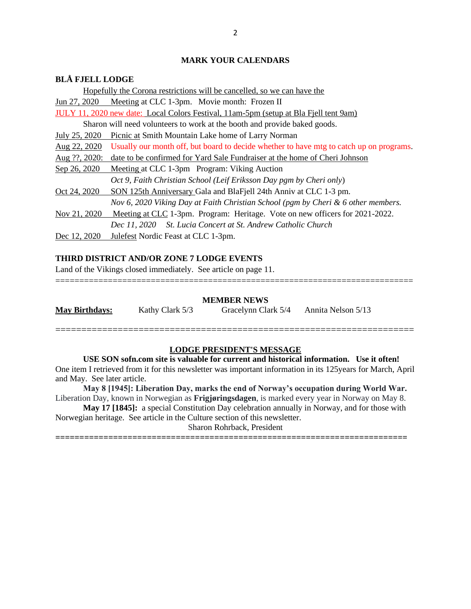## **MARK YOUR CALENDARS**

## **BLÅ FJELL LODGE**

|               | Hopefully the Corona restrictions will be cancelled, so we can have the                 |
|---------------|-----------------------------------------------------------------------------------------|
|               | Jun 27, 2020 Meeting at CLC 1-3pm. Movie month: Frozen II                               |
|               | JULY 11, 2020 new date: Local Colors Festival, 11am-5pm (setup at Bla Fjell tent 9am)   |
|               | Sharon will need volunteers to work at the booth and provide baked goods.               |
| July 25, 2020 | Picnic at Smith Mountain Lake home of Larry Norman                                      |
| Aug 22, 2020  | Usually our month off, but board to decide whether to have mtg to catch up on programs. |
| Aug ??, 2020: | date to be confirmed for Yard Sale Fundraiser at the home of Cheri Johnson              |
| Sep 26, 2020  | Meeting at CLC 1-3pm Program: Viking Auction                                            |
|               | Oct 9, Faith Christian School (Leif Eriksson Day pgm by Cheri only)                     |
| Oct 24, 2020  | SON 125th Anniversary Gala and BlaFjell 24th Anniv at CLC 1-3 pm.                       |
|               | Nov 6, 2020 Viking Day at Faith Christian School (pgm by Cheri & 6 other members.       |
| Nov 21, 2020  | Meeting at CLC 1-3pm. Program: Heritage. Vote on new officers for 2021-2022.            |
|               | Dec 11, 2020 St. Lucia Concert at St. Andrew Catholic Church                            |
| Dec 12, 2020  | Julefest Nordic Feast at CLC 1-3pm.                                                     |

### **THIRD DISTRICT AND/OR ZONE 7 LODGE EVENTS**

Land of the Vikings closed immediately. See article on page 11.

#### **MEMBER NEWS**

===========================================================================

**May Birthdays:** Kathy Clark 5/3 Gracelynn Clark 5/4 Annita Nelson 5/13

=====================================================================

## **LODGE PRESIDENT'S MESSAGE**

**USE SON sofn.com site is valuable for current and historical information. Use it often!** One item I retrieved from it for this newsletter was important information in its 125years for March, April and May. See later article.

**May 8 [1945]: Liberation Day, marks the end of Norway's occupation during World War.**  Liberation Day, known in Norwegian as **Frigjøringsdagen**, is marked every year in Norway on May 8.

**May 17 [1845]:** a special Constitution Day celebration annually in Norway, and for those with Norwegian heritage. See article in the Culture section of this newsletter.

Sharon Rohrback, President

**=========================================================================**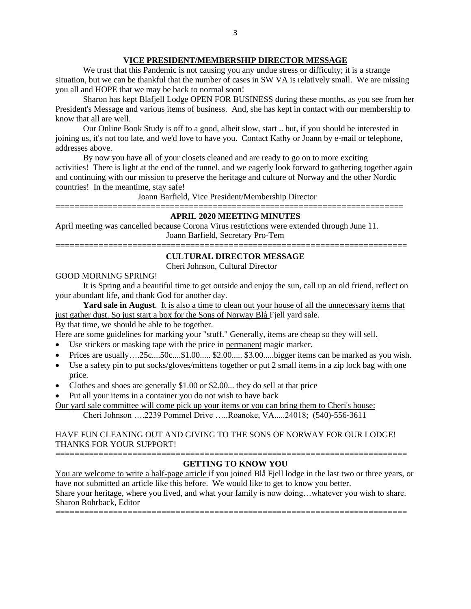### **VICE PRESIDENT/MEMBERSHIP DIRECTOR MESSAGE**

We trust that this Pandemic is not causing you any undue stress or difficulty; it is a strange situation, but we can be thankful that the number of cases in SW VA is relatively small. We are missing you all and HOPE that we may be back to normal soon!

Sharon has kept Blafjell Lodge OPEN FOR BUSINESS during these months, as you see from her President's Message and various items of business. And, she has kept in contact with our membership to know that all are well.

Our Online Book Study is off to a good, albeit slow, start .. but, if you should be interested in joining us, it's not too late, and we'd love to have you. Contact Kathy or Joann by e-mail or telephone, addresses above.

By now you have all of your closets cleaned and are ready to go on to more exciting activities! There is light at the end of the tunnel, and we eagerly look forward to gathering together again and continuing with our mission to preserve the heritage and culture of Norway and the other Nordic countries! In the meantime, stay safe!

Joann Barfield, Vice President/Membership Director =========================================================================

### **APRIL 2020 MEETING MINUTES**

April meeting was cancelled because Corona Virus restrictions were extended through June 11. Joann Barfield, Secretary Pro-Tem

### **========================================================================= CULTURAL DIRECTOR MESSAGE**

Cheri Johnson, Cultural Director

### GOOD MORNING SPRING!

It is Spring and a beautiful time to get outside and enjoy the sun, call up an old friend, reflect on your abundant life, and thank God for another day.

**Yard sale in August**. It is also a time to clean out your house of all the unnecessary items that just gather dust. So just start a box for the Sons of Norway Blå Fjell yard sale.

By that time, we should be able to be together.

Here are some guidelines for marking your "stuff." Generally, items are cheap so they will sell.

- Use stickers or masking tape with the price in permanent magic marker.
- Prices are usually….25c....50c....\$1.00..... \$2.00..... \$3.00.....bigger items can be marked as you wish.
- Use a safety pin to put socks/gloves/mittens together or put 2 small items in a zip lock bag with one price.
- Clothes and shoes are generally \$1.00 or \$2.00... they do sell at that price
- Put all your items in a container you do not wish to have back

Our yard sale committee will come pick up your items or you can bring them to Cheri's house: Cheri Johnson ….2239 Pommel Drive …..Roanoke, VA.....24018; (540)-556-3611

HAVE FUN CLEANING OUT AND GIVING TO THE SONS OF NORWAY FOR OUR LODGE! THANKS FOR YOUR SUPPORT!

#### **=========================================================================**

### **GETTING TO KNOW YOU**

You are welcome to write a half-page article if you joined Blå Fjell lodge in the last two or three years, or have not submitted an article like this before. We would like to get to know you better. Share your heritage, where you lived, and what your family is now doing…whatever you wish to share. Sharon Rohrback, Editor

**=========================================================================**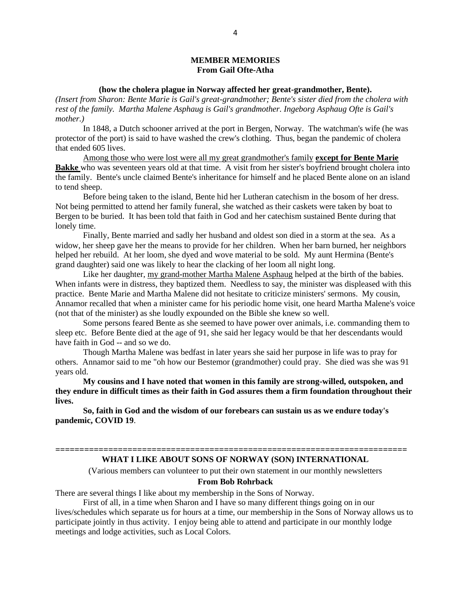#### **MEMBER MEMORIES From Gail Ofte-Atha**

#### **(how the cholera plague in Norway affected her great-grandmother, Bente).**

*(Insert from Sharon: Bente Marie is Gail's great-grandmother; Bente's sister died from the cholera with rest of the family. Martha Malene Asphaug is Gail's grandmother. Ingeborg Asphaug Ofte is Gail's mother.)*

In 1848, a Dutch schooner arrived at the port in Bergen, Norway. The watchman's wife (he was protector of the port) is said to have washed the crew's clothing. Thus, began the pandemic of cholera that ended 605 lives.

Among those who were lost were all my great grandmother's family **except for Bente Marie Bakke** who was seventeen years old at that time. A visit from her sister's boyfriend brought cholera into the family. Bente's uncle claimed Bente's inheritance for himself and he placed Bente alone on an island to tend sheep.

Before being taken to the island, Bente hid her Lutheran catechism in the bosom of her dress. Not being permitted to attend her family funeral, she watched as their caskets were taken by boat to Bergen to be buried. It has been told that faith in God and her catechism sustained Bente during that lonely time.

Finally, Bente married and sadly her husband and oldest son died in a storm at the sea. As a widow, her sheep gave her the means to provide for her children. When her barn burned, her neighbors helped her rebuild. At her loom, she dyed and wove material to be sold. My aunt Hermina (Bente's grand daughter) said one was likely to hear the clacking of her loom all night long.

Like her daughter, my grand-mother Martha Malene Asphaug helped at the birth of the babies. When infants were in distress, they baptized them. Needless to say, the minister was displeased with this practice. Bente Marie and Martha Malene did not hesitate to criticize ministers' sermons. My cousin, Annamor recalled that when a minister came for his periodic home visit, one heard Martha Malene's voice (not that of the minister) as she loudly expounded on the Bible she knew so well.

Some persons feared Bente as she seemed to have power over animals, i.e. commanding them to sleep etc. Before Bente died at the age of 91, she said her legacy would be that her descendants would have faith in God -- and so we do.

Though Martha Malene was bedfast in later years she said her purpose in life was to pray for others. Annamor said to me "oh how our Bestemor (grandmother) could pray. She died was she was 91 years old.

**My cousins and I have noted that women in this family are strong-willed, outspoken, and they endure in difficult times as their faith in God assures them a firm foundation throughout their lives.**

**So, faith in God and the wisdom of our forebears can sustain us as we endure today's pandemic, COVID 19**.

#### **========================================================================= WHAT I LIKE ABOUT SONS OF NORWAY (SON) INTERNATIONAL**

(Various members can volunteer to put their own statement in our monthly newsletters

### **From Bob Rohrback**

There are several things I like about my membership in the Sons of Norway.

First of all, in a time when Sharon and I have so many different things going on in our lives/schedules which separate us for hours at a time, our membership in the Sons of Norway allows us to participate jointly in thus activity. I enjoy being able to attend and participate in our monthly lodge meetings and lodge activities, such as Local Colors.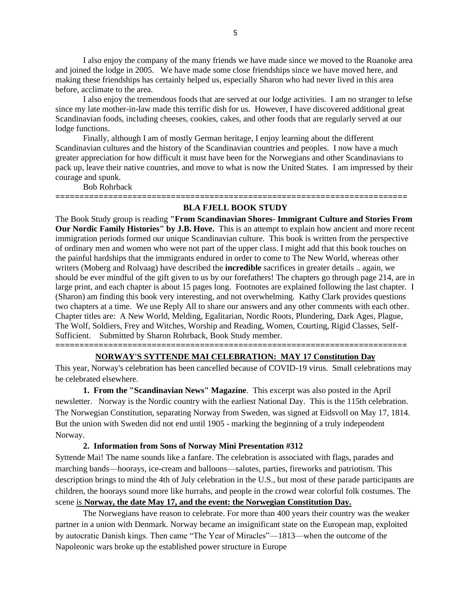I also enjoy the company of the many friends we have made since we moved to the Roanoke area and joined the lodge in 2005. We have made some close friendships since we have moved here, and making these friendships has certainly helped us, especially Sharon who had never lived in this area before, acclimate to the area.

I also enjoy the tremendous foods that are served at our lodge activities. I am no stranger to lefse since my late mother-in-law made this terrific dish for us. However, I have discovered additional great Scandinavian foods, including cheeses, cookies, cakes, and other foods that are regularly served at our lodge functions.

Finally, although I am of mostly German heritage, I enjoy learning about the different Scandinavian cultures and the history of the Scandinavian countries and peoples. I now have a much greater appreciation for how difficult it must have been for the Norwegians and other Scandinavians to pack up, leave their native countries, and move to what is now the United States. I am impressed by their courage and spunk.

Bob Rohrback

### **========================================================================= BLA FJELL BOOK STUDY**

The Book Study group is reading **"From Scandinavian Shores- Immigrant Culture and Stories From Our Nordic Family Histories" by J.B. Hove.** This is an attempt to explain how ancient and more recent immigration periods formed our unique Scandinavian culture. This book is written from the perspective of ordinary men and women who were not part of the upper class. I might add that this book touches on the painful hardships that the immigrants endured in order to come to The New World, whereas other writers (Moberg and Rolvaag) have described the **incredible** sacrifices in greater details .. again, we should be ever mindful of the gift given to us by our forefathers! The chapters go through page 214, are in large print, and each chapter is about 15 pages long. Footnotes are explained following the last chapter. I (Sharon) am finding this book very interesting, and not overwhelming. Kathy Clark provides questions two chapters at a time. We use Reply All to share our answers and any other comments with each other. Chapter titles are: A New World, Melding, Egalitarian, Nordic Roots, Plundering, Dark Ages, Plague, The Wolf, Soldiers, Frey and Witches, Worship and Reading, Women, Courting, Rigid Classes, Self-Sufficient. Submitted by Sharon Rohrback, Book Study member.

### **========================================================================= NORWAY'S SYTTENDE MAI CELEBRATION: MAY 17 Constitution Day**

This year, Norway's celebration has been cancelled because of COVID-19 virus. Small celebrations may be celebrated elsewhere.

**1. From the "Scandinavian News" Magazine**. This excerpt was also posted in the April newsletter. Norway is the Nordic country with the earliest National Day. This is the 115th celebration. The Norwegian Constitution, separating Norway from Sweden, was signed at Eidsvoll on May 17, 1814. But the union with Sweden did not end until 1905 - marking the beginning of a truly independent Norway.

#### **2. Information from Sons of Norway Mini Presentation #312**

Syttende Mai! The name sounds like a fanfare. The celebration is associated with flags, parades and marching bands—hoorays, ice-cream and balloons—salutes, parties, fireworks and patriotism. This description brings to mind the 4th of July celebration in the U.S., but most of these parade participants are children, the hoorays sound more like hurrahs, and people in the crowd wear colorful folk costumes. The scene is **Norway, the date May 17, and the event: the Norwegian Constitution Day.**

The Norwegians have reason to celebrate. For more than 400 years their country was the weaker partner in a union with Denmark. Norway became an insignificant state on the European map, exploited by autocratic Danish kings. Then came "The Year of Miracles"—1813—when the outcome of the Napoleonic wars broke up the established power structure in Europe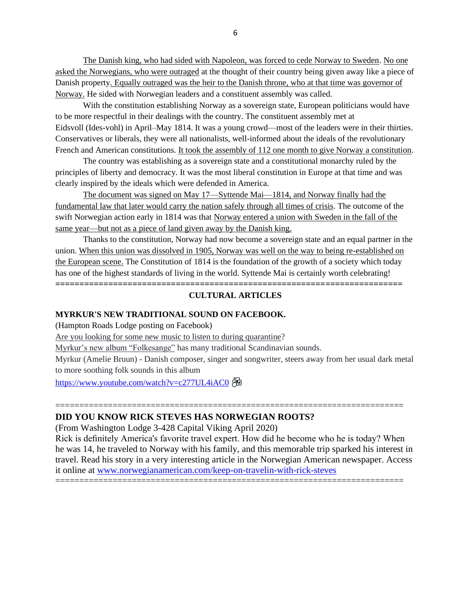The Danish king, who had sided with Napoleon, was forced to cede Norway to Sweden. No one asked the Norwegians, who were outraged at the thought of their country being given away like a piece of Danish property. Equally outraged was the heir to the Danish throne, who at that time was governor of Norway. He sided with Norwegian leaders and a constituent assembly was called.

With the constitution establishing Norway as a sovereign state, European politicians would have to be more respectful in their dealings with the country. The constituent assembly met at Eidsvoll (Ides-vohl) in April–May 1814. It was a young crowd—most of the leaders were in their thirties. Conservatives or liberals, they were all nationalists, well-informed about the ideals of the revolutionary French and American constitutions. It took the assembly of 112 one month to give Norway a constitution.

The country was establishing as a sovereign state and a constitutional monarchy ruled by the principles of liberty and democracy. It was the most liberal constitution in Europe at that time and was clearly inspired by the ideals which were defended in America.

The document was signed on May 17—Syttende Mai—1814, and Norway finally had the fundamental law that later would carry the nation safely through all times of crisis. The outcome of the swift Norwegian action early in 1814 was that Norway entered a union with Sweden in the fall of the same year—but not as a piece of land given away by the Danish king.

Thanks to the constitution, Norway had now become a sovereign state and an equal partner in the union. When this union was dissolved in 1905, Norway was well on the way to being re-established on the European scene. The Constitution of 1814 is the foundation of the growth of a society which today has one of the highest standards of living in the world. Syttende Mai is certainly worth celebrating!

**========================================================================**

### **CULTURAL ARTICLES**

### **MYRKUR'S NEW TRADITIONAL SOUND ON FACEBOOK.**

(Hampton Roads Lodge posting on Facebook)

Are you looking for some new music to listen to during quarantine?

Myrkur's new album "Folkesange" has many traditional Scandinavian sounds.

Myrkur (Amelie Bruun) - Danish composer, singer and songwriter, steers away from her usual dark metal to more soothing folk sounds in this album

=========================================================================

<https://www.youtube.com/watch?v=c277UL4iAC0> Æ

### **DID YOU KNOW RICK STEVES HAS NORWEGIAN ROOTS?**

(From Washington Lodge 3-428 Capital Viking April 2020)

Rick is definitely America's favorite travel expert. How did he become who he is today? When he was 14, he traveled to Norway with his family, and this memorable trip sparked his interest in travel. Read his story in a very interesting article in the Norwegian American newspaper. Access it online at [www.norwegianamerican.com/keep-on-travelin-with-rick-steves](http://www.norwegianamerican.com/keep-on-travelin-with-rick-steves)

=========================================================================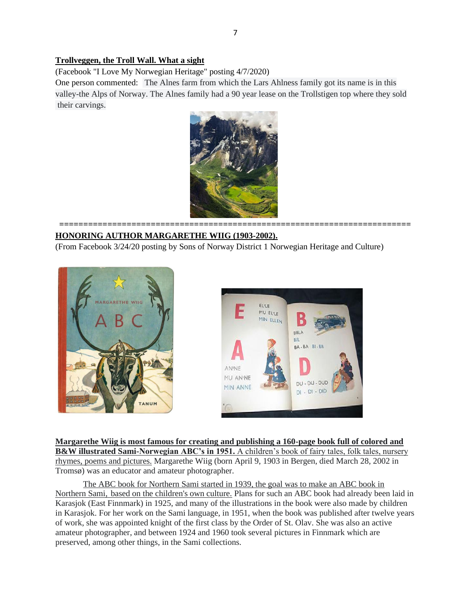### **Trollveggen, the Troll Wall. What a sight**

(Facebook "I Love My Norwegian Heritage" posting 4/7/2020)

One person commented: The Alnes farm from which the Lars Ahlness family got its name is in this valley-the Alps of Norway. The Alnes family had a 90 year lease on the Trollstigen top where they sold their carvings.



**=========================================================================**

## **HONORING AUTHOR MARGARETHE WIIG (1903-2002).**

(From Facebook 3/24/20 posting by Sons of Norway District 1 Norwegian Heritage and Culture)





**Margarethe Wiig is most famous for creating and publishing a 160-page book full of colored and B&W illustrated Sami-Norwegian ABC's in 1951.** A children's book of fairy tales, folk tales, nursery rhymes, poems and pictures. Margarethe Wiig (born April 9, 1903 in Bergen, died March 28, 2002 in Tromsø) was an educator and amateur photographer.

The ABC book for Northern Sami started in 1939, the goal was to make an ABC book in Northern Sami, based on the children's own culture. Plans for such an ABC book had already been laid in Karasjok (East Finnmark) in 1925, and many of the illustrations in the book were also made by children in Karasjok. For her work on the Sami language, in 1951, when the book was published after twelve years of work, she was appointed knight of the first class by the Order of St. Olav. She was also an active amateur photographer, and between 1924 and 1960 took several pictures in Finnmark which are preserved, among other things, in the Sami collections.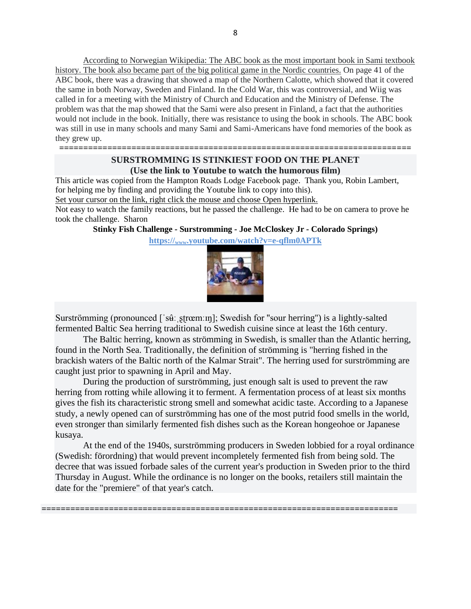According to Norwegian Wikipedia: The ABC book as the most important book in Sami textbook history. The book also became part of the big political game in the Nordic countries. On page 41 of the ABC book, there was a drawing that showed a map of the Northern Calotte, which showed that it covered the same in both Norway, Sweden and Finland. In the Cold War, this was controversial, and Wiig was called in for a meeting with the Ministry of Church and Education and the Ministry of Defense. The problem was that the map showed that the Sami were also present in Finland, a fact that the authorities would not include in the book. Initially, there was resistance to using the book in schools. The ABC book was still in use in many schools and many Sami and Sami-Americans have fond memories of the book as they grew up.

# **SURSTROMMING IS STINKIEST FOOD ON THE PLANET (Use the link to Youtube to watch the humorous film)**

**=========================================================================**

This article was copied from the Hampton Roads Lodge Facebook page. Thank you, Robin Lambert, for helping me by finding and providing the Youtube link to copy into this).

Set your cursor on the link, right click the mouse and choose Open hyperlink.

Not easy to watch the family reactions, but he passed the challenge. He had to be on camera to prove he took the challenge. Sharon

**[Stinky Fish Challenge -](https://www.youtube.com/watch?v=e-qflm0APTk&fbclid=IwAR3C4OXdFv2ig0xQeGNOnzW3uSuvRWW6xc5dSHoDlKwou31qfWEZkzb511Y) Surstromming - Joe McCloskey Jr - Colorado Springs)**

**https://www[.youtube.com/watch?v=e-qflm0APTk](https://www.youtube.com/watch?v=e-qflm0APTk&fbclid=IwAR2_hp0vJ2R-3ydVNIbVedxTU6E0IkJRyCmHpD1gmszFkpjpQKMYVQaPd-A)**



Surströmming (pronounced ['sɨiːˌstrœmːɪŋ]; Swedish for "sour herring") is a lightly-salted fermented Baltic Sea herring traditional to Swedish cuisine since at least the 16th century.

The Baltic herring, known as strömming in Swedish, is smaller than the Atlantic herring, found in the North Sea. Traditionally, the definition of strömming is "herring fished in the brackish waters of the Baltic north of the Kalmar Strait". The herring used for surströmming are caught just prior to spawning in April and May.

During the production of surströmming, just enough salt is used to prevent the raw herring from rotting while allowing it to ferment. A fermentation process of at least six months gives the fish its characteristic strong smell and somewhat acidic taste. According to a Japanese study, a newly opened can of surströmming has one of the most putrid food smells in the world, even stronger than similarly fermented fish dishes such as the Korean hongeohoe or Japanese kusaya.

At the end of the 1940s, surströmming producers in Sweden lobbied for a royal ordinance (Swedish: förordning) that would prevent incompletely fermented fish from being sold. The decree that was issued forbade sales of the current year's production in Sweden prior to the third Thursday in August. While the ordinance is no longer on the books, retailers still maintain the date for the "premiere" of that year's catch.

**==========================================================================**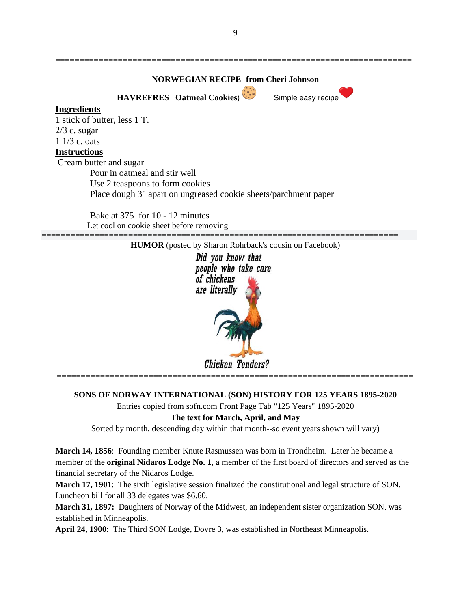**========================================================================== NORWEGIAN RECIPE**- **from Cheri Johnson HAVREFRES** Oatmeal Cookies) Simple easy recipe **Ingredients** 1 stick of butter, less 1 T. 2/3 c. sugar 1 1/3 c. oats **Instructions** Cream butter and sugar

Pour in oatmeal and stir well Use 2 teaspoons to form cookies Place dough 3" apart on ungreased cookie sheets/parchment paper

Bake at 375 for 10 - 12 minutes Let cool on cookie sheet before removing



**SONS OF NORWAY INTERNATIONAL (SON) HISTORY FOR 125 YEARS 1895-2020**

Entries copied from sofn.com Front Page Tab "125 Years" 1895-2020

## **The text for March, April, and May**

Sorted by month, descending day within that month--so event years shown will vary)

**March 14, 1856**: Founding member Knute Rasmussen was born in Trondheim. Later he became a member of the **original Nidaros Lodge No. 1**, a member of the first board of directors and served as the financial secretary of the Nidaros Lodge.

**March 17, 1901**: The sixth legislative session finalized the constitutional and legal structure of SON. Luncheon bill for all 33 delegates was \$6.60.

**March 31, 1897:** Daughters of Norway of the Midwest, an independent sister organization SON, was established in Minneapolis.

**April 24, 1900**: The Third SON Lodge, Dovre 3, was established in Northeast Minneapolis.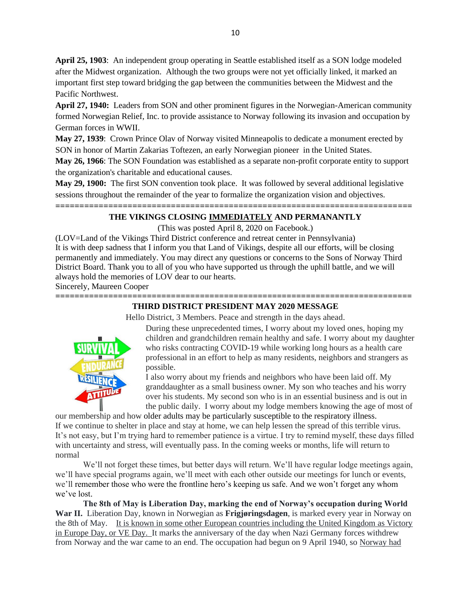**April 25, 1903**: An independent group operating in Seattle established itself as a SON lodge modeled after the Midwest organization. Although the two groups were not yet officially linked, it marked an important first step toward bridging the gap between the communities between the Midwest and the Pacific Northwest.

**April 27, 1940:** Leaders from SON and other prominent figures in the Norwegian-American community formed Norwegian Relief, Inc. to provide assistance to Norway following its invasion and occupation by German forces in WWII.

**May 27, 1939**: Crown Prince Olav of Norway visited Minneapolis to dedicate a monument erected by SON in honor of Martin Zakarias Toftezen, an early Norwegian pioneer in the United States.

**May 26, 1966**: The SON Foundation was established as a separate non-profit corporate entity to support the organization's charitable and educational causes.

**May 29, 1900:** The first SON convention took place. It was followed by several additional legislative sessions throughout the remainder of the year to formalize the organization vision and objectives.

### **========================================================================== THE VIKINGS CLOSING IMMEDIATELY AND PERMANANTLY**

(This was posted April 8, 2020 on Facebook.)

(LOV=Land of the Vikings Third District conference and retreat center in Pennsylvania) It is with deep sadness that I inform you that Land of Vikings, despite all our efforts, will be closing permanently and immediately. You may direct any questions or concerns to the Sons of Norway Third District Board. Thank you to all of you who have supported us through the uphill battle, and we will always hold the memories of LOV dear to our hearts.

Sincerely, Maureen Cooper

### **========================================================================== THIRD DISTRICT PRESIDENT MAY 2020 MESSAGE**

Hello District, 3 Members. Peace and strength in the days ahead.



During these unprecedented times, I worry about my loved ones, hoping my children and grandchildren remain healthy and safe. I worry about my daughter who risks contracting COVID-19 while working long hours as a health care professional in an effort to help as many residents, neighbors and strangers as possible.

I also worry about my friends and neighbors who have been laid off. My granddaughter as a small business owner. My son who teaches and his worry over his students. My second son who is in an essential business and is out in the public daily. I worry about my lodge members knowing the age of most of

our membership and how older adults may be particularly susceptible to the respiratory illness. If we continue to shelter in place and stay at home, we can help lessen the spread of this terrible virus. It's not easy, but I'm trying hard to remember patience is a virtue. I try to remind myself, these days filled with uncertainty and stress, will eventually pass. In the coming weeks or months, life will return to normal

We'll not forget these times, but better days will return. We'll have regular lodge meetings again, we'll have special programs again, we'll meet with each other outside our meetings for lunch or events, we'll remember those who were the frontline hero's keeping us safe. And we won't forget any whom we've lost.

**The 8th of May is Liberation Day, marking the end of Norway's occupation during World War II.** Liberation Day, known in Norwegian as **Frigjøringsdagen**, is marked every year in Norway on the 8th of May. It is known in some other European countries including the United Kingdom as Victory in Europe Day, or VE Day. It marks the anniversary of the day when Nazi Germany forces withdrew from Norway and the war came to an end. The occupation had begun on 9 April 1940, so Norway had